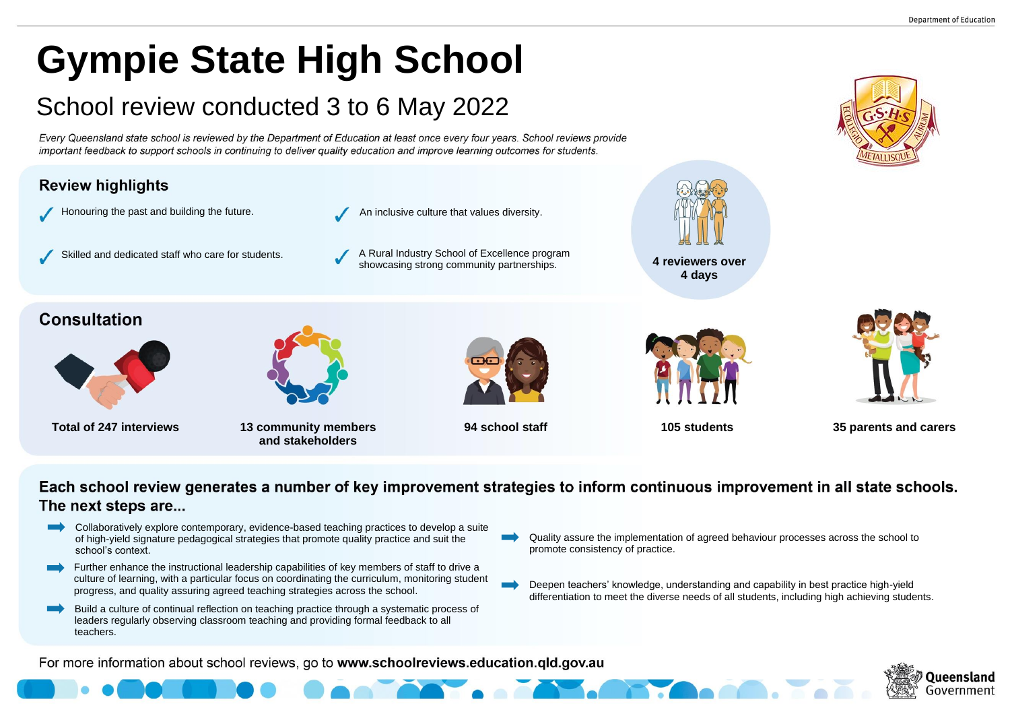# **Gympie State High School**

## School review conducted 3 to 6 May 2022

Every Queensland state school is reviewed by the Department of Education at least once every four years. School reviews provide important feedback to support schools in continuing to deliver quality education and improve learning outcomes for students.



### Each school review generates a number of key improvement strategies to inform continuous improvement in all state schools. The next steps are...

- Collaboratively explore contemporary, evidence-based teaching practices to develop a suite  $\blacksquare$ of high-yield signature pedagogical strategies that promote quality practice and suit the school's context.
- Further enhance the instructional leadership capabilities of key members of staff to drive a  $\blacksquare$ culture of learning, with a particular focus on coordinating the curriculum, monitoring student progress, and quality assuring agreed teaching strategies across the school.
- Build a culture of continual reflection on teaching practice through a systematic process of leaders regularly observing classroom teaching and providing formal feedback to all teachers.
- Quality assure the implementation of agreed behaviour processes across the school to promote consistency of practice.
- Deepen teachers' knowledge, understanding and capability in best practice high-yield differentiation to meet the diverse needs of all students, including high achieving students.

For more information about school reviews, go to www.schoolreviews.education.qld.gov.au





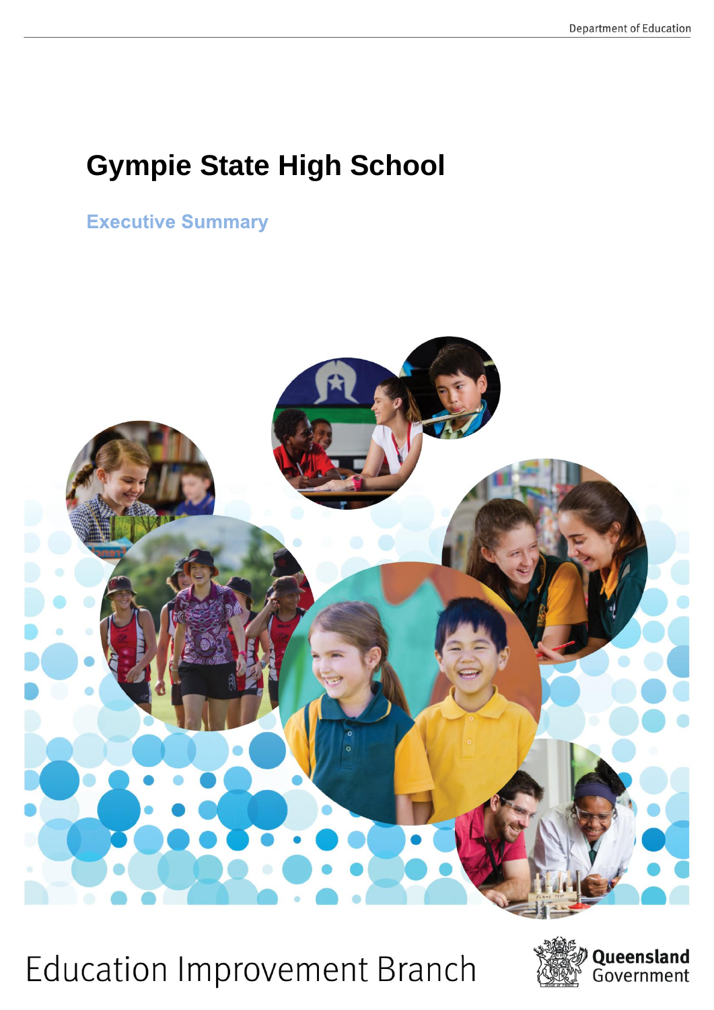### **Gympie State High School**

**Executive Summary** 



**Education Improvement Branch** 

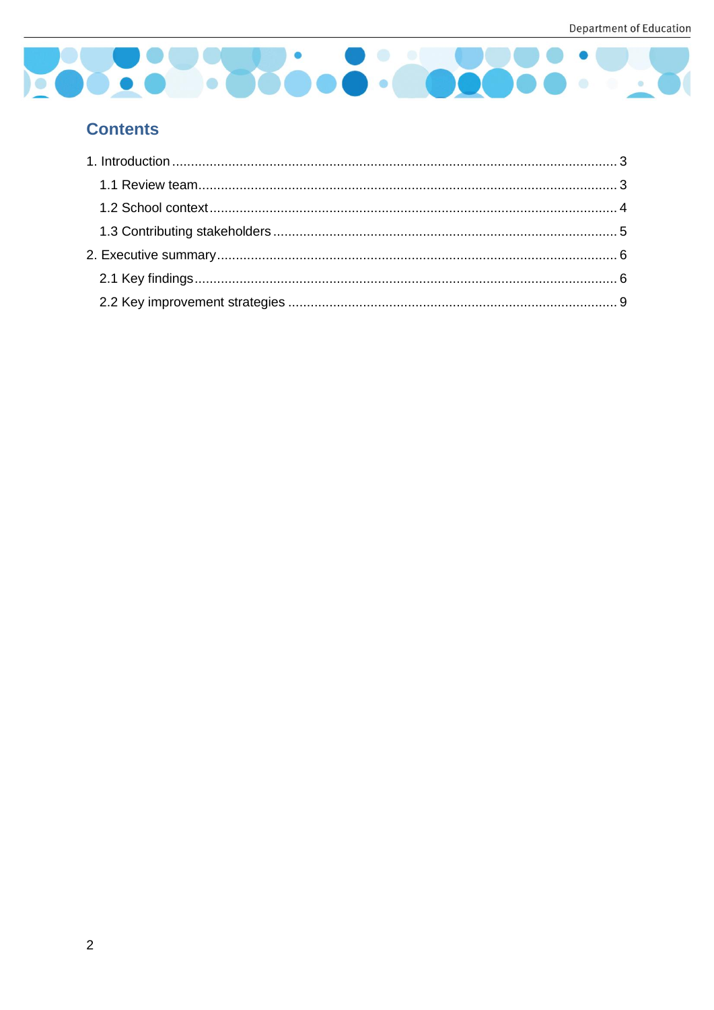

#### **Contents**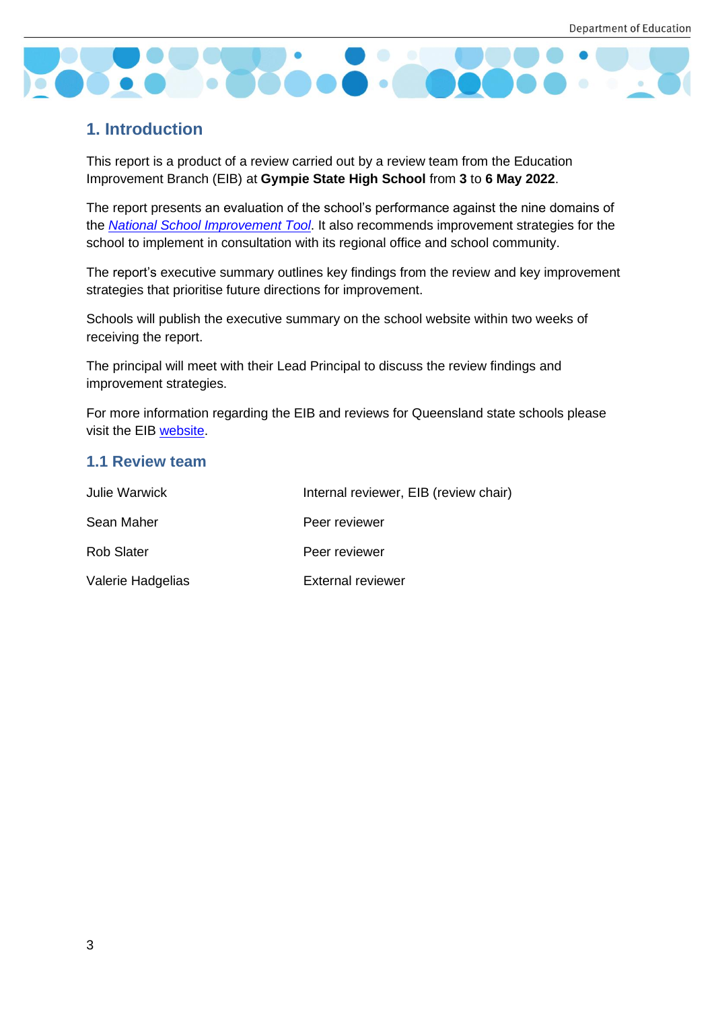

#### <span id="page-3-0"></span>**1. Introduction**

This report is a product of a review carried out by a review team from the Education Improvement Branch (EIB) at **Gympie State High School** from **3** to **6 May 2022**.

The report presents an evaluation of the school's performance against the nine domains of the *[National School Improvement Tool](https://schoolreviews.eq.edu.au/SiteCollectionDocuments/national-school-improve-tool.pdf)*. It also recommends improvement strategies for the school to implement in consultation with its regional office and school community.

The report's executive summary outlines key findings from the review and key improvement strategies that prioritise future directions for improvement.

Schools will publish the executive summary on the school website within two weeks of receiving the report.

The principal will meet with their Lead Principal to discuss the review findings and improvement strategies.

For more information regarding the EIB and reviews for Queensland state schools please visit the EIB [website.](https://schoolreviews.eq.edu.au/Pages/default.aspx)

#### <span id="page-3-1"></span>**1.1 Review team**

| Julie Warwick     | Internal reviewer, EIB (review chair) |
|-------------------|---------------------------------------|
| Sean Maher        | Peer reviewer                         |
| <b>Rob Slater</b> | Peer reviewer                         |
| Valerie Hadgelias | <b>External reviewer</b>              |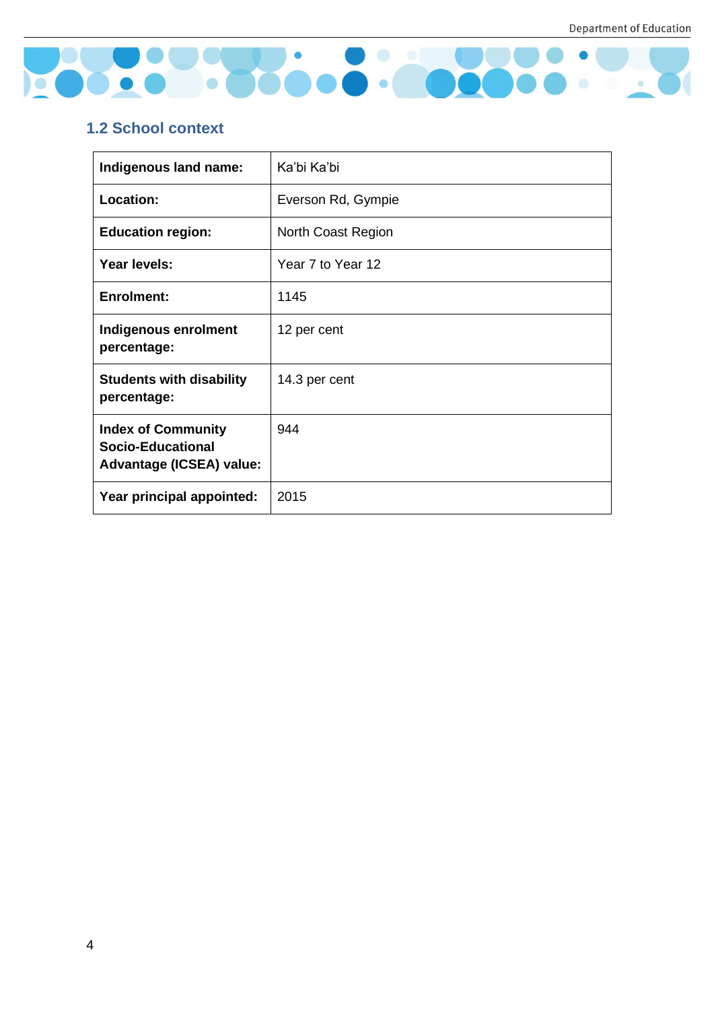

#### <span id="page-4-0"></span>**1.2 School context**

| Indigenous land name:                                                                    | Ka'bi Ka'bi        |
|------------------------------------------------------------------------------------------|--------------------|
| Location:                                                                                | Everson Rd, Gympie |
| <b>Education region:</b>                                                                 | North Coast Region |
| Year levels:                                                                             | Year 7 to Year 12  |
| <b>Enrolment:</b>                                                                        | 1145               |
| Indigenous enrolment<br>percentage:                                                      | 12 per cent        |
| <b>Students with disability</b><br>percentage:                                           | 14.3 per cent      |
| <b>Index of Community</b><br><b>Socio-Educational</b><br><b>Advantage (ICSEA) value:</b> | 944                |
| Year principal appointed:                                                                | 2015               |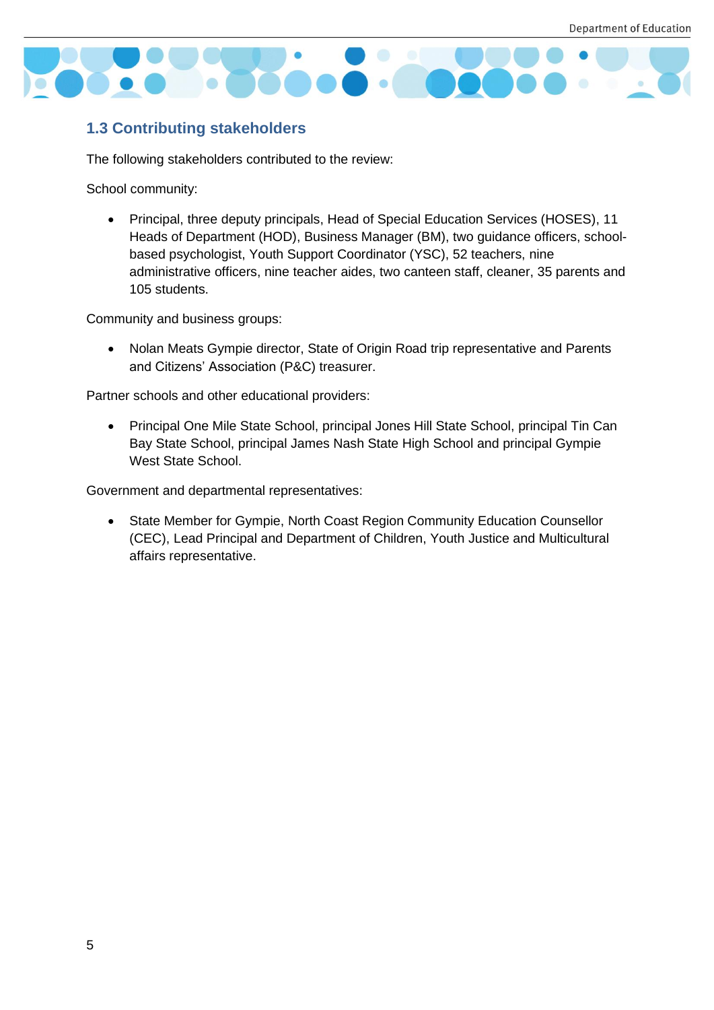

#### <span id="page-5-0"></span>**1.3 Contributing stakeholders**

The following stakeholders contributed to the review:

School community:

• Principal, three deputy principals, Head of Special Education Services (HOSES), 11 Heads of Department (HOD), Business Manager (BM), two guidance officers, schoolbased psychologist, Youth Support Coordinator (YSC), 52 teachers, nine administrative officers, nine teacher aides, two canteen staff, cleaner, 35 parents and 105 students.

Community and business groups:

• Nolan Meats Gympie director, State of Origin Road trip representative and Parents and Citizens' Association (P&C) treasurer.

Partner schools and other educational providers:

• Principal One Mile State School, principal Jones Hill State School, principal Tin Can Bay State School, principal James Nash State High School and principal Gympie West State School.

Government and departmental representatives:

• State Member for Gympie, North Coast Region Community Education Counsellor (CEC), Lead Principal and Department of Children, Youth Justice and Multicultural affairs representative.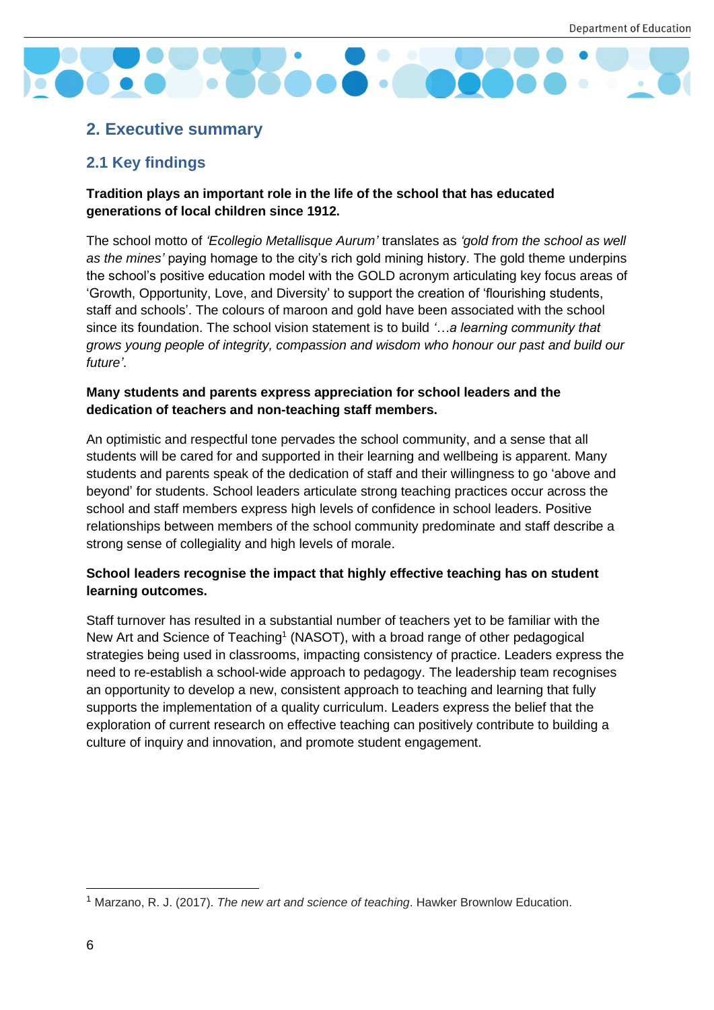

#### <span id="page-6-0"></span>**2. Executive summary**

#### <span id="page-6-1"></span>**2.1 Key findings**

#### **Tradition plays an important role in the life of the school that has educated generations of local children since 1912.**

The school motto of *'Ecollegio Metallisque Aurum'* translates as *'gold from the school as well as the mines'* paying homage to the city's rich gold mining history. The gold theme underpins the school's positive education model with the GOLD acronym articulating key focus areas of 'Growth, Opportunity, Love, and Diversity' to support the creation of 'flourishing students, staff and schools'. The colours of maroon and gold have been associated with the school since its foundation. The school vision statement is to build *'…a learning community that grows young people of integrity, compassion and wisdom who honour our past and build our future'*.

#### **Many students and parents express appreciation for school leaders and the dedication of teachers and non-teaching staff members.**

An optimistic and respectful tone pervades the school community, and a sense that all students will be cared for and supported in their learning and wellbeing is apparent. Many students and parents speak of the dedication of staff and their willingness to go 'above and beyond' for students. School leaders articulate strong teaching practices occur across the school and staff members express high levels of confidence in school leaders. Positive relationships between members of the school community predominate and staff describe a strong sense of collegiality and high levels of morale.

#### **School leaders recognise the impact that highly effective teaching has on student learning outcomes.**

Staff turnover has resulted in a substantial number of teachers yet to be familiar with the New Art and Science of Teaching<sup>1</sup> (NASOT), with a broad range of other pedagogical strategies being used in classrooms, impacting consistency of practice. Leaders express the need to re-establish a school-wide approach to pedagogy. The leadership team recognises an opportunity to develop a new, consistent approach to teaching and learning that fully supports the implementation of a quality curriculum. Leaders express the belief that the exploration of current research on effective teaching can positively contribute to building a culture of inquiry and innovation, and promote student engagement.

<sup>1</sup> Marzano, R. J. (2017). *The new art and science of teaching*. Hawker Brownlow Education.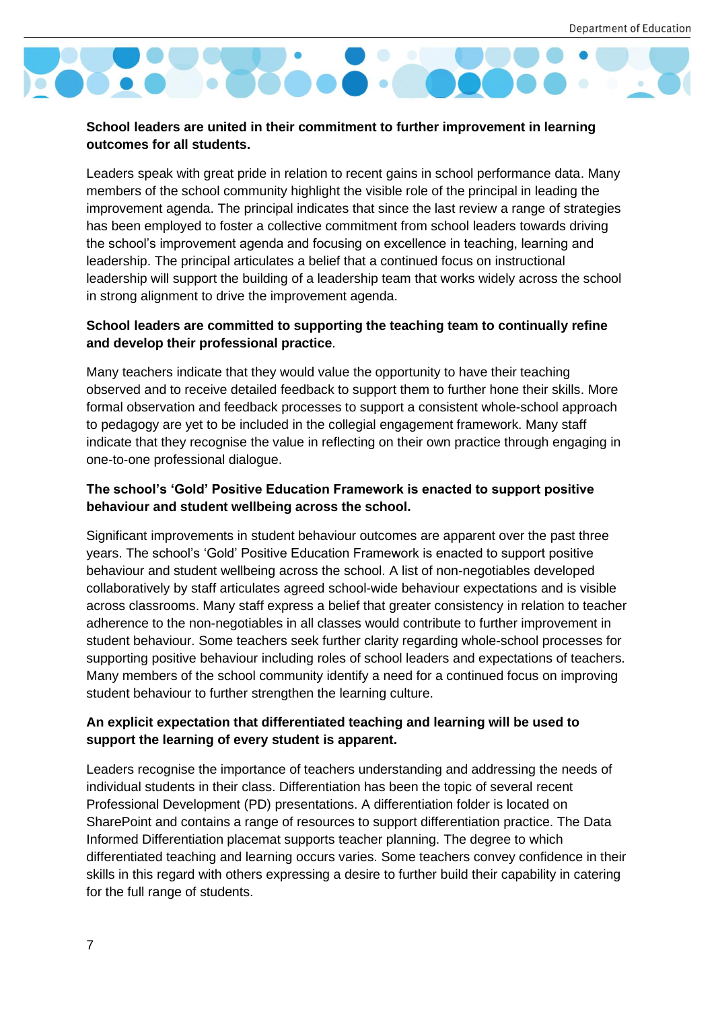

#### **School leaders are united in their commitment to further improvement in learning outcomes for all students.**

Leaders speak with great pride in relation to recent gains in school performance data. Many members of the school community highlight the visible role of the principal in leading the improvement agenda. The principal indicates that since the last review a range of strategies has been employed to foster a collective commitment from school leaders towards driving the school's improvement agenda and focusing on excellence in teaching, learning and leadership. The principal articulates a belief that a continued focus on instructional leadership will support the building of a leadership team that works widely across the school in strong alignment to drive the improvement agenda.

#### **School leaders are committed to supporting the teaching team to continually refine and develop their professional practice**.

Many teachers indicate that they would value the opportunity to have their teaching observed and to receive detailed feedback to support them to further hone their skills. More formal observation and feedback processes to support a consistent whole-school approach to pedagogy are yet to be included in the collegial engagement framework. Many staff indicate that they recognise the value in reflecting on their own practice through engaging in one-to-one professional dialogue.

#### **The school's 'Gold' Positive Education Framework is enacted to support positive behaviour and student wellbeing across the school.**

Significant improvements in student behaviour outcomes are apparent over the past three years. The school's 'Gold' Positive Education Framework is enacted to support positive behaviour and student wellbeing across the school. A list of non-negotiables developed collaboratively by staff articulates agreed school-wide behaviour expectations and is visible across classrooms. Many staff express a belief that greater consistency in relation to teacher adherence to the non-negotiables in all classes would contribute to further improvement in student behaviour. Some teachers seek further clarity regarding whole-school processes for supporting positive behaviour including roles of school leaders and expectations of teachers. Many members of the school community identify a need for a continued focus on improving student behaviour to further strengthen the learning culture.

#### **An explicit expectation that differentiated teaching and learning will be used to support the learning of every student is apparent.**

Leaders recognise the importance of teachers understanding and addressing the needs of individual students in their class. Differentiation has been the topic of several recent Professional Development (PD) presentations. A differentiation folder is located on SharePoint and contains a range of resources to support differentiation practice. The Data Informed Differentiation placemat supports teacher planning. The degree to which differentiated teaching and learning occurs varies. Some teachers convey confidence in their skills in this regard with others expressing a desire to further build their capability in catering for the full range of students.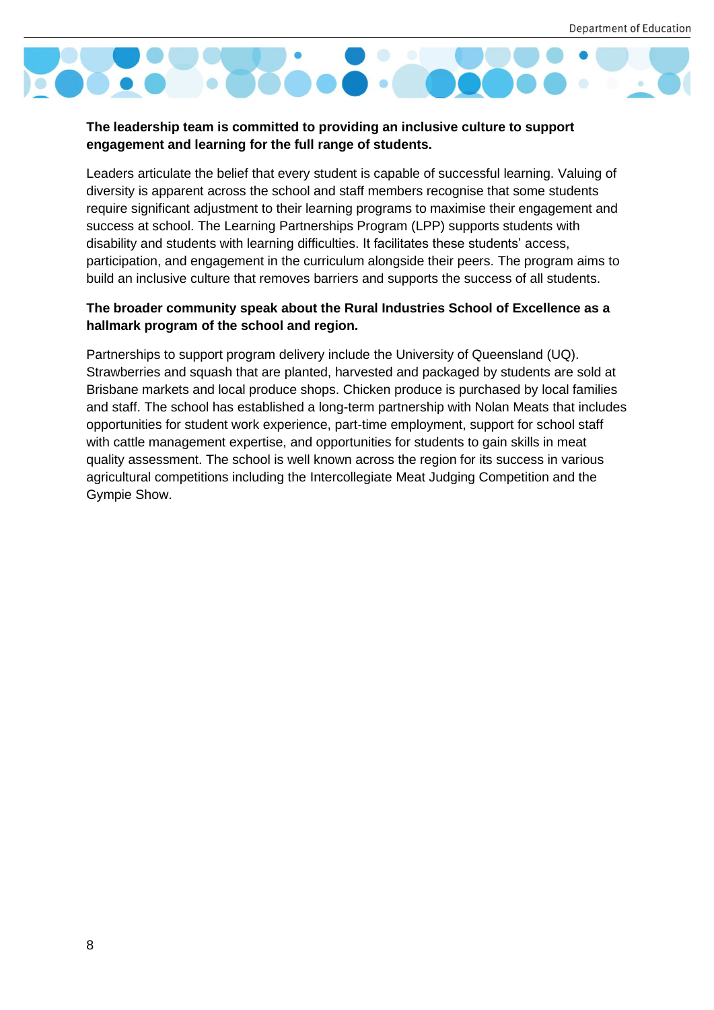

#### **The leadership team is committed to providing an inclusive culture to support engagement and learning for the full range of students.**

Leaders articulate the belief that every student is capable of successful learning. Valuing of diversity is apparent across the school and staff members recognise that some students require significant adjustment to their learning programs to maximise their engagement and success at school. The Learning Partnerships Program (LPP) supports students with disability and students with learning difficulties. It facilitates these students' access, participation, and engagement in the curriculum alongside their peers. The program aims to build an inclusive culture that removes barriers and supports the success of all students.

#### **The broader community speak about the Rural Industries School of Excellence as a hallmark program of the school and region.**

Partnerships to support program delivery include the University of Queensland (UQ). Strawberries and squash that are planted, harvested and packaged by students are sold at Brisbane markets and local produce shops. Chicken produce is purchased by local families and staff. The school has established a long-term partnership with Nolan Meats that includes opportunities for student work experience, part-time employment, support for school staff with cattle management expertise, and opportunities for students to gain skills in meat quality assessment. The school is well known across the region for its success in various agricultural competitions including the Intercollegiate Meat Judging Competition and the Gympie Show.